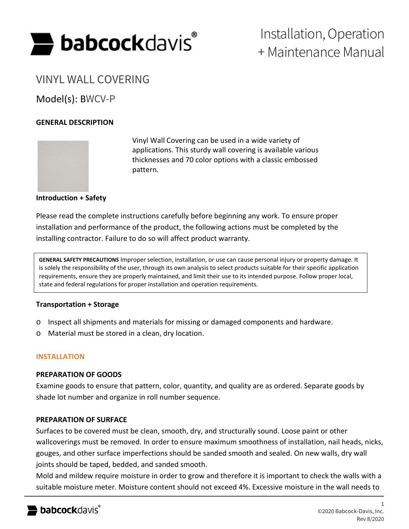

Installation, Operation + Maintenance Manual

# VINYL WALL COVERING

Model(s): BWCV-P

## **GENERAL DESCRIPTION**



Vinyl Wall Covering can be used in a wide variety of applications. This sturdy wall covering is available various thicknesses and 70 color options with a classic embossed pattern*.*

#### **Introduction + Safety**

Please read the complete instructions carefully before beginning any work. To ensure proper installation and performance of the product, the following actions must be completed by the installing contractor. Failure to do so will affect product warranty.

**GENERAL SAFETY PRECAUTIONS** Improper selection, installation, or use can cause personal injury or property damage. It is solely the responsibility of the user, through its own analysis to select products suitable for their specific application requirements, ensure they are properly maintained, and limit their use to its intended purpose. Follow proper local, state and federal regulations for proper installation and operation requirements.

#### **Transportation + Storage**

- o Inspect all shipments and materials for missing or damaged components and hardware.
- o Material must be stored in a clean, dry location.

#### **INSTALLATION**

#### **PREPARATION OF GOODS**

Examine goods to ensure that pattern, color, quantity, and quality are as ordered. Separate goods by shade lot number and organize in roll number sequence.

#### **PREPARATION OF SURFACE**

Surfaces to be covered must be clean, smooth, dry, and structurally sound. Loose paint or other wallcoverings must be removed. In order to ensure maximum smoothness of installation, nail heads, nicks, gouges, and other surface imperfections should be sanded smooth and sealed. On new walls, dry wall joints should be taped, bedded, and sanded smooth.

Mold and mildew require moisture in order to grow and therefore it is important to check the walls with a suitable moisture meter. Moisture content should not exceed 4%. Excessive moisture in the wall needs to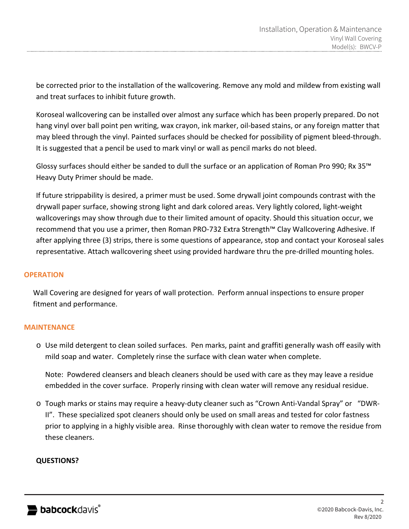be corrected prior to the installation of the wallcovering. Remove any mold and mildew from existing wall and treat surfaces to inhibit future growth.

Koroseal wallcovering can be installed over almost any surface which has been properly prepared. Do not hang vinyl over ball point pen writing, wax crayon, ink marker, oil-based stains, or any foreign matter that may bleed through the vinyl. Painted surfaces should be checked for possibility of pigment bleed-through. It is suggested that a pencil be used to mark vinyl or wall as pencil marks do not bleed.

Glossy surfaces should either be sanded to dull the surface or an application of Roman Pro 990; Rx 35™ Heavy Duty Primer should be made.

If future strippability is desired, a primer must be used. Some drywall joint compounds contrast with the drywall paper surface, showing strong light and dark colored areas. Very lightly colored, light-weight wallcoverings may show through due to their limited amount of opacity. Should this situation occur, we recommend that you use a primer, then Roman PRO-732 Extra Strength™ Clay Wallcovering Adhesive. If after applying three (3) strips, there is some questions of appearance, stop and contact your Koroseal sales representative. Attach wallcovering sheet using provided hardware thru the pre-drilled mounting holes.

## **OPERATION**

Wall Covering are designed for years of wall protection. Perform annual inspections to ensure proper fitment and performance.

## **MAINTENANCE**

o Use mild detergent to clean soiled surfaces. Pen marks, paint and graffiti generally wash off easily with mild soap and water. Completely rinse the surface with clean water when complete.

Note: Powdered cleansers and bleach cleaners should be used with care as they may leave a residue embedded in the cover surface. Properly rinsing with clean water will remove any residual residue.

o Tough marks or stains may require a heavy-duty cleaner such as "Crown Anti-Vandal Spray" or "DWR-II". These specialized spot cleaners should only be used on small areas and tested for color fastness prior to applying in a highly visible area. Rinse thoroughly with clean water to remove the residue from these cleaners.

## **QUESTIONS?**